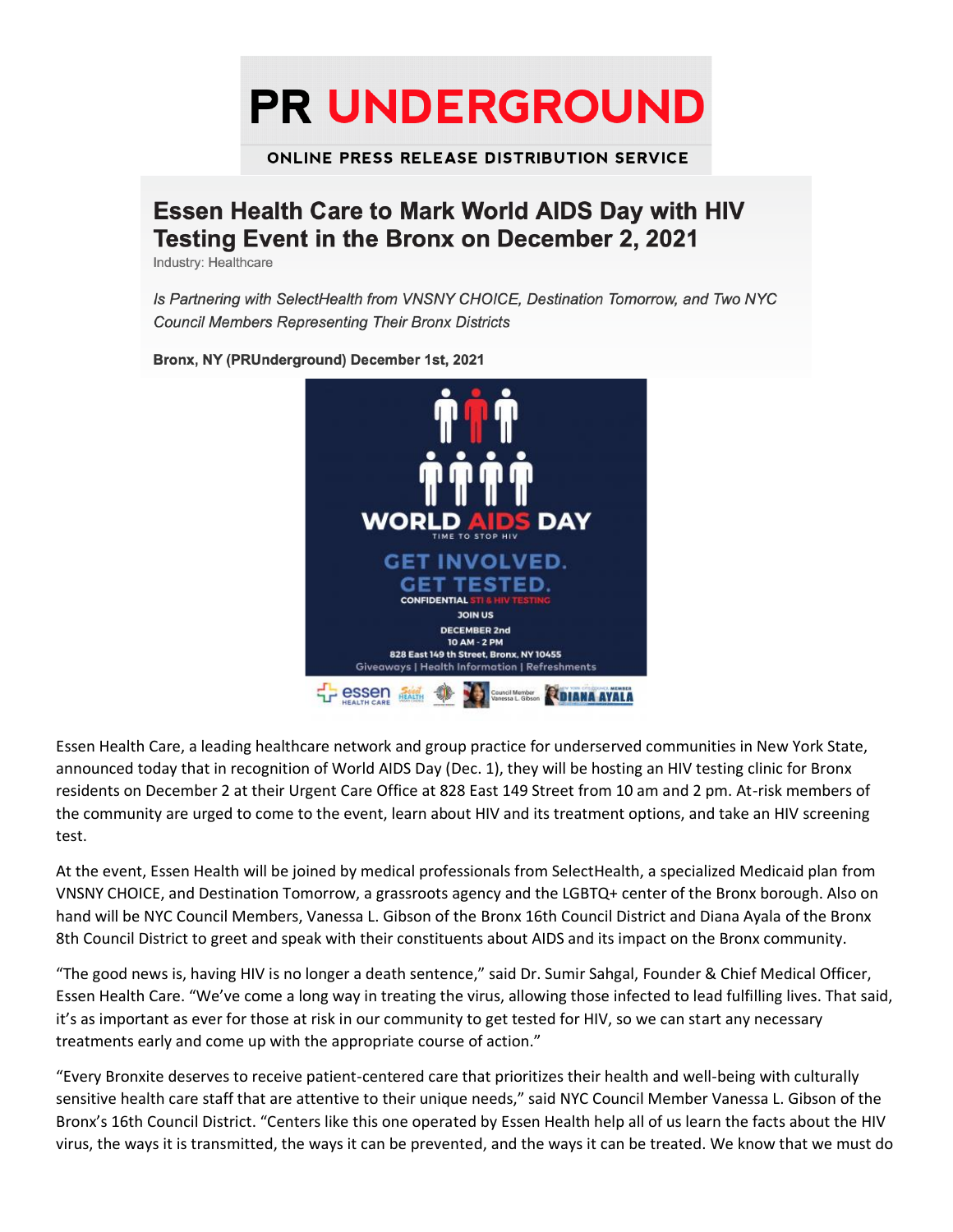**PR UNDERGROUND** 

**ONLINE PRESS RELEASE DISTRIBUTION SERVICE** 

## **Essen Health Care to Mark World AIDS Day with HIV Testing Event in the Bronx on December 2, 2021**

Industry: Healthcare

Is Partnering with SelectHealth from VNSNY CHOICE, Destination Tomorrow, and Two NYC **Council Members Representing Their Bronx Districts** 



Bronx, NY (PRUnderground) December 1st, 2021

Essen Health Care, a leading healthcare network and group practice for underserved communities in New York State, announced today that in recognition of World AIDS Day (Dec. 1), they will be hosting an HIV testing clinic for Bronx residents on December 2 at their Urgent Care Office at 828 East 149 Street from 10 am and 2 pm. At-risk members of the community are urged to come to the event, learn about HIV and its treatment options, and take an HIV screening test.

At the event, Essen Health will be joined by medical professionals from SelectHealth, a specialized Medicaid plan from VNSNY CHOICE, and Destination Tomorrow, a grassroots agency and the LGBTQ+ center of the Bronx borough. Also on hand will be NYC Council Members, Vanessa L. Gibson of the Bronx 16th Council District and Diana Ayala of the Bronx 8th Council District to greet and speak with their constituents about AIDS and its impact on the Bronx community.

"The good news is, having HIV is no longer a death sentence," said Dr. Sumir Sahgal, Founder & Chief Medical Officer, Essen Health Care. "We've come a long way in treating the virus, allowing those infected to lead fulfilling lives. That said, it's as important as ever for those at risk in our community to get tested for HIV, so we can start any necessary treatments early and come up with the appropriate course of action."

"Every Bronxite deserves to receive patient-centered care that prioritizes their health and well-being with culturally sensitive health care staff that are attentive to their unique needs," said NYC Council Member Vanessa L. Gibson of the Bronx's 16th Council District. "Centers like this one operated by Essen Health help all of us learn the facts about the HIV virus, the ways it is transmitted, the ways it can be prevented, and the ways it can be treated. We know that we must do